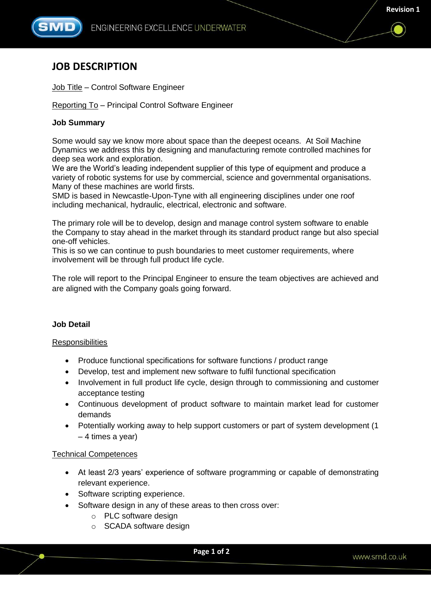

# **JOB DESCRIPTION**

# Job Title – Control Software Engineer

Reporting To – Principal Control Software Engineer

## **Job Summary**

Some would say we know more about space than the deepest oceans. At Soil Machine Dynamics we address this by designing and manufacturing remote controlled machines for deep sea work and exploration.

We are the World's leading independent supplier of this type of equipment and produce a variety of robotic systems for use by commercial, science and governmental organisations. Many of these machines are world firsts.

SMD is based in Newcastle-Upon-Tyne with all engineering disciplines under one roof including mechanical, hydraulic, electrical, electronic and software.

The primary role will be to develop, design and manage control system software to enable the Company to stay ahead in the market through its standard product range but also special one-off vehicles.

This is so we can continue to push boundaries to meet customer requirements, where involvement will be through full product life cycle.

The role will report to the Principal Engineer to ensure the team objectives are achieved and are aligned with the Company goals going forward.

#### **Job Detail**

#### **Responsibilities**

- Produce functional specifications for software functions / product range
- Develop, test and implement new software to fulfil functional specification
- Involvement in full product life cycle, design through to commissioning and customer acceptance testing
- Continuous development of product software to maintain market lead for customer demands
- Potentially working away to help support customers or part of system development (1) – 4 times a year)

#### Technical Competences

- At least 2/3 years' experience of software programming or capable of demonstrating relevant experience.
- Software scripting experience.
- Software design in any of these areas to then cross over:
	- o PLC software design
	- o SCADA software design